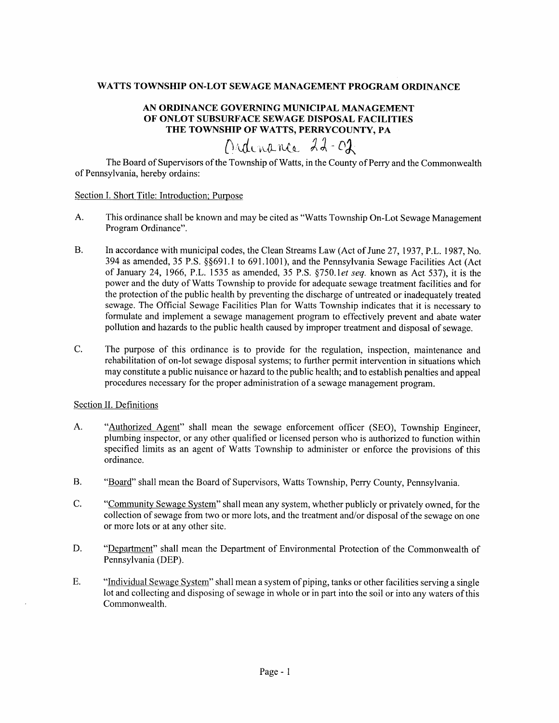## WATTS TOWNSHIP ON.LOT SEWAGE MANAGEMENT PROGRAM ORDINANCB

# AN ORDINANCE GOVERNING MUNICIPAL MANAGEMENT OF ONLOT SUBSURFACE SEWAGE DISPOSAL FACILITIES THE TOWNSHIP OF WATTS, PERRYCOUNTY, pA

# Ordinance 22-02

The Board of Supervisors of the Township of Watts, in the County of Perry and the Commonwealth of Pennsylvania, hereby ordains:

### Section I. Short Title: Introduction: Purpose

- A. This ordinance shall be known and may be cited as "Watts Township On-Lot Sewage Management Program Ordinance".
- B. In accordance with municipal codes, the Clean Streams Law (Act of June 27, 1937, P.L. 1987, No. 394 as amended,35 P.S. \$\$691.1 to 691.1001), and the Pennsylvania Sewage Facilities Act (Act of January 24, 1966, P.L. 1535 as amended, 35 P.S. §750.1et seq. known as Act 537), it is the power and the duty of Watts Township to provide for adequate sewage treatment facilities and for the protection of the public health by preventing the discharge of untreated or inadequately treated sewage. The Official Sewage Facilities Plan for Watts Township indicates that it is necessary to formulate and implement a sewage management program to effectively prevent and abate water pollution and hazards to the public health caused by improper treatment and disposal of sewage.
- C. The purpose of this ordinance is to provide for the regulation, inspection, maintenance and rehabilitation of on-lot sewage disposal systems; to further permit intervention in situations which may constitute a public nuisance or hazard to the public health; and to establish penalties and appeal procedures necessary for the proper administration of a sewage management progmm.

## Section II. Definitions

- A. "Authorized Agent" shall mean the sewage enforcement officer (SEO), Township Engineer, plumbing inspector, or any other qualified or licensed person who is authorized to function within specified limits as an agent of Watts Township to administer or enforce the provisions of this ordinance.
- B. "Board" shall mean the Board of Supervisors, Watts Township, Perry County, Pennsylvania.
- C. "Community Sewage System" shall mean any system, whether publicly or privately owned, for the collection of sewage from two or more lots, and the treatment and/or disposal of the sewage on one or more lots or at any other site.
- D. "Department" shall mean the Department of Environmental Protection of the Commonwealth of Pennsylvania (DEP).
- E. "Individual Sewage System" shall mean a system of piping, tanks or other facilities serving a single lot and collecting and disposing of sewage in whole or in part into the soil or into any waters of this Commonwealth.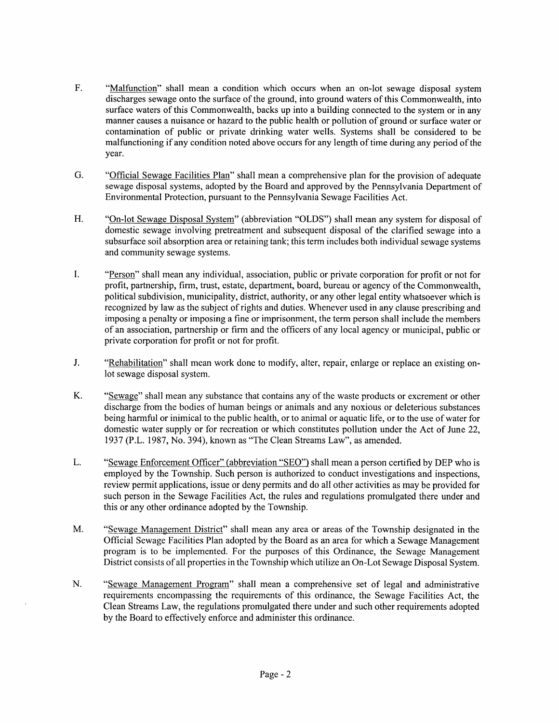- F. "Malfunction" shall mean a condition which occurs when an on-lot sewage disposal system discharges sewage onto the surface of the ground, into ground waters of this Commonwealth, into surface waters of this Commonwealth, backs up into a building connected to the system or in any manner causes a nuisance or hazard to the public health or pollution of ground or surface water or contamination of public or private drinking water wells. Systems shall be considered to be malfunctioning if any condition noted above occurs for any length of time during any period of the year.
- "Official Sewage Facilities Plan" shall mean a comprehensive plan for the provision of adequate sewage disposal systems, adopted by the Board and approved by the Pennsylvania Department of Environmental Protection, pursuant to the Pennsylvania Sewage Facilities Act. G.
- "On-lot Sewage Disposal System" (abbreviation "OLDS") shall mean any system for disposal of domestic sewage involving pretreatment and subsequent disposal of the clarified sewage into a subsurface soil absorption area or retaining tank; this term includes both individual sewage systems and community sewage systems. H.
- $\mathbf{L}$ 6(Persen" shall mean any individual, association, public or private corporation for profit or not for profit, partnership, firm, trust, estate, department, board, bureau or agency of the Commonwealth, political subdivision, municipality, district, authority, or any other legal entity whatsoever which is recognized by law as the subject of rights and duties. Whenever used in any clause prescribing and imposing a penalty or imposing a fine or imprisonment, the term person shall include the members of an association, partnership or firm and the officers of any local agency or municipal, public or private corporation for profit or not for profit.
- J. "Rehabilitation" shall mean work done to modify, alter, repair, enlarge or replace an existing onlot sewage disposal system.
- "Sewage" shall mean any substance that contains any of the waste products or excrement or other discharge from the bodies of human beings or animals and any noxious or deleterious substances being harmful or inimical to the public health, or to animal or aquatic life, or to the use of water for domestic water supply or for recreation or which constitutes pollution under the Act of June 22, 1937 (P.L. 1987, No. 394), known as "The Clean Streams Law", as amended. K.
- "Sewage Enforcement Officer" (abbreviation "SEO") shall mean a person certified by DEP who is employed by the Township. Such person is authorized to conduct investigations and inspections, review permit applications, issue or deny permits and do all other activities as may be provided for such person in the Sewage Facilities Act, the rules and regulations promulgated there under and this or any other ordinance adopted by the Township. L.
- "Sewage Management District" shall mean any area or areas of the Township designated in the Official Sewage Facilities Plan adopted by the Board as an area for which a Sewage Management program is to be implemented. For the purposes of this Ordinance, the Sewage Management District consists of all properties in the Township which utilize an On-Lot Sewage Disposal System. M.
- "Sewage Management Program" shall mean a comprehensive set of legal and administrative requirements encompassing the requirements of this ordinance, the Sewage Facilities Act, the Clean Streams Law, the regulations promulgated there under and such other requirements adopted by the Board to effectively enforce and administer this ordinance. N.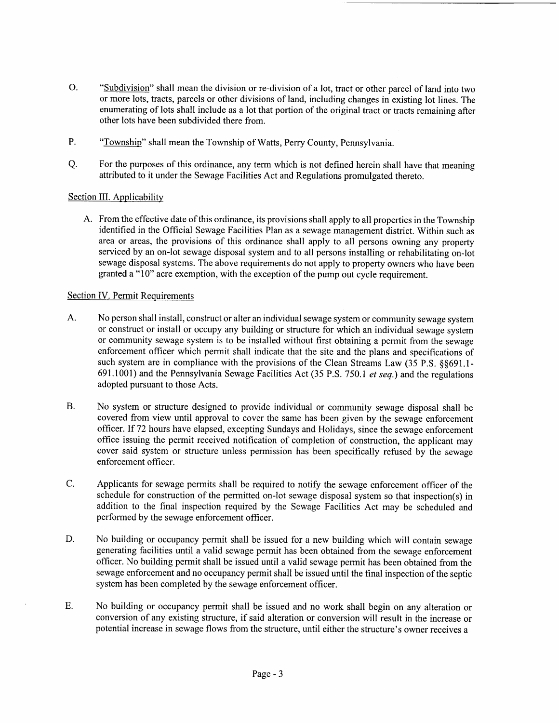- o. "Subdivision" shall mean the division or re-division of a lot, tract or other parcel of land into two or more lots, tracts, parcels or other divisions of land, including changes in existing lot lines. The enumerating of lots shall include as a lot that portion of the original tract or tracts remaining after other lots have been subdivided there from.
- "Township" shall mean the Township of Watts, Perry County, Pennsylvania. P.
- For the purposes of this ordinance, any term which is not defined herein shall have that meaning attributed to it under the Sewage Facilities Act and Regulations promulgated thereto. a.

# Section III. Applicability

A. From the effective date of this ordinance, its provisions shall apply to all properties in the Township identified in the Official Sewage Facilities Plan as a sewage management district. Within such as area or areas, the provisions of this ordinance shall apply to all persons owning any properly serviced by an on-lot sewage disposal system and to all persons installing or rehabilitating on-lot sewage disposal systems. The above requirements do not apply to property owners who have been granted a "10" acre exemption, with the exception of the pump out cycle requirement.

## Section IV. Permit Requirements

- No person shall install, construct or alter an individual sewage system or community sewage system or construct or install or occupy any building or structure for which an individual sewage system or community sewage system is to be installed without first obtaining a permit from the sewage enforcement officer which permit shall indicate that the site and the plans and specifications of such system are in compliance with the provisions of the Clean Streams Law  $(35 P.S. 88691.1-$ 691.1001) and the Pennsylvania Sewage Facilities Act (35 P.S. 750.1 et seq.) and the regulations adopted pursuant to those Acts. A.
- No system or structure designed to provide individual or community sewage disposal shall be covered from view until approval to cover the same has been given by the sewage enforcement officer. If 72 hours have elapsed, excepting Sundays and Holidays, since the sewage enforcement office issuing the permit received notification of completion of construction, the applicant may cover said system or structure unless permission has been specifically refused by the sewage enforcement officer. B.
- Applicants for sewage permits shall be required to notify the sewage enforcement officer of the schedule for construction of the permitted on-lot sewage disposal system so that inspection(s) in addition to the final inspection required by the Sewage Facilities Act may be scheduled and performed by the sewage enforcement officer. C.
- No building or occupancy permit shall be issued for a new building which will contain sewage generating facilities until a valid sewage permit has been obtained from the sewage enforcement officer. No building permit shall be issued until a valid sewage permit has been obtained from the sewage enforcement and no occupancy permit shall be issued until the final inspection of the septic system has been completed by the sewage enforcement officer. D.
- No building or occupancy permit shall be issued and no work shall begin on any alteration or conversion of any existing structure, if said alteration or conversion will result in the increase or potential increase in sewage flows from the structure, until either the structure's owner receives a E.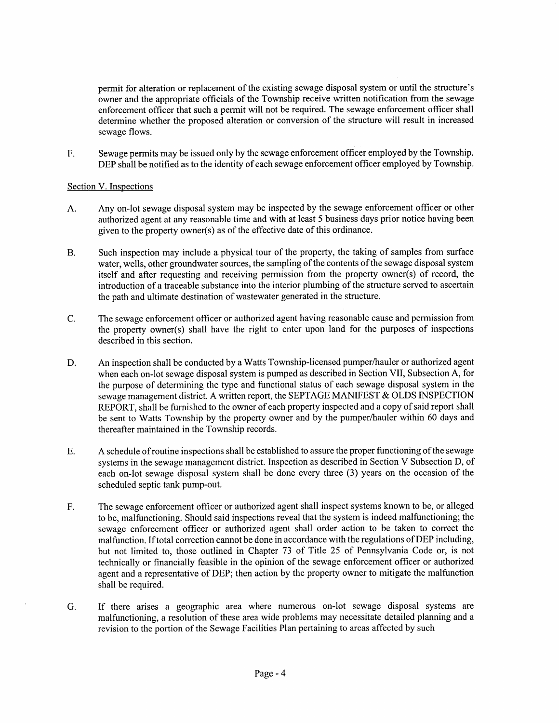permit for alteration or replacement of the existing sewage disposal system or until the structure's owner and the appropriate officials of the Township receive written notification from the sewage enforcement officer that such a permit will not be required. The sewage enforcement officer shall determine whether the proposed alteration or conversion of the structure will result in increased sewage flows.

F. Sewage permits may be issued only by the sewage enforcement officer employed by the Township. DEP shall be notified as to the identity of each sewage enforcement officer employed by Township.

# Section V. Inspections

- A. Any on-lot sewage disposal system may be inspected by the sewage enforcement officer or other authorized agent at any reasonable time and with at least 5 business days prior notice having been given to the property owner(s) as of the effective date of this ordinance.
- B. Such inspection may include a physical tour of the property, the taking of samples from surface water, wells, other groundwater sources, the sampling of the contents of the sewage disposal system itself and after requesting and receiving permission from the property owner(s) of record, the introduction of a traceable substance into the interior plumbing of the structure served to ascertain the path and ultimate destination of wastewater generated in the structure.
- C. The sewage enforcement officer or authorized agent having reasonable cause and permission from the properfy owner(s) shall have the right to enter upon land for the purposes of inspections described in this section.
- D. An inspection shall be conducted by a Watts Township-licensed pumper/hauler or authorizedagent when each on-lot sewage disposal system is pumped as described in Section VII, Subsection A, for the purpose of determining the type and functional status of each sewage disposal system in the sewage management district. A written report, the SEPTAGE MANIFEST & OLDS INSPECTION REPORT, shall be furnished to the owner of each property inspected and a copy of said report shall be sent to Watts Township by the properfy owner and by the pumper/hauler within 60 days and thereafter maintained in the Township records.
- A schedule of routine inspections shall be established to assure the proper functioning of the sewage systems in the sewage management district. Inspection as described in Section V Subsection D, of each on-lot sewage disposal system shall be done every three (3) years on the occasion of the scheduled septic tank pump-out. E.
- The sewage enforcement officer or authorized agent shall inspect systems known to be, or alleged to be, malfunctioning. Should said inspections reveal that the system is indeed malfunctioning; the sewage enforcement officer or authorized agent shall order action to be taken to correct the malfunction. If total correction cannot be done in accordance with the regulations of DEP including, but not limited to, those outlined in Chapter 73 of Title 25 of Pennsylvania Code or, is not technically or financially feasible in the opinion of the sewage enforcement officer or authorized agent and a representative of DEP; then action by the property owner to mitigate the malfunction shall be required. F.
- If there arises a geographic area where numerous on-lot sewage disposal systems are malfunctioning, a resolution of these area wide problems may necessitate detailed planning and a revision to the portion of the Sewage Facilities Plan pertaining to areas affected by such G.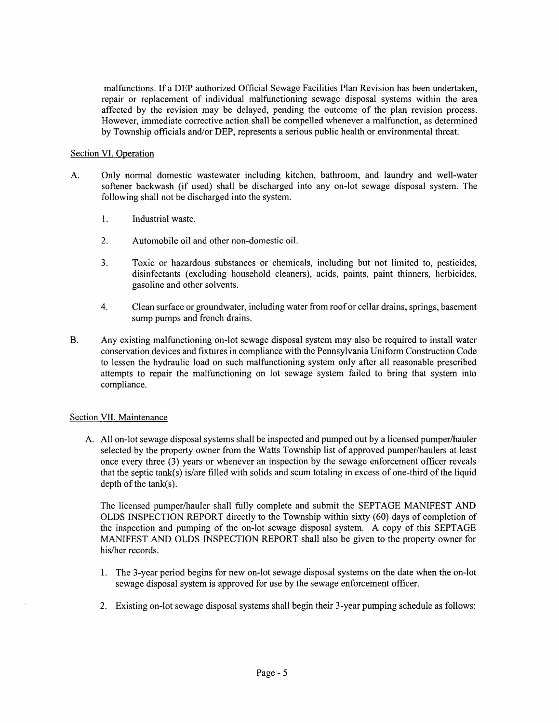malfunctions. If a DEP authorized Official Sewage Facilities Plan Revision has been undertaken, repair or replacement of individual malfunctioning sewage disposal systems within the area affected by the revision may be delayed, pending the outcome of the plan revision process. However, immediate corrective action shall be compelled whenever a malfunction, as determined by Township officials and/or DEP, represents a serious public health or environmental threat.

## Section VI. Operation

- A. Only normal domestic wastewater including kitchen, bathroom, and laundry and well-water softener backwash (if used) shall be discharged into any on-lot sewage disposal system. The following shall not be discharged into the system.
	- 1. Industrial waste.
	- 2. Automobile oil and other non-domestic oil.
	- 3. Toxic or hazardous substances or chemicals, including but not limited to, pesticides, disinfectants (excluding household cleaners), acids, paints, paint thinners, herbicides, gasoline and other solvents.
	- 4. Clean surface or groundwater, including water from roof or cellar drains, springs, basement sump pumps and french drains.
- B. Any existing malfunctioning on-lot sewage disposal system may also be required to install water conseryation devices and fixtures in compliance with the Pennsylvania Uniform Construction Code to lessen the hydraulic load on such malfunctioning system only after all reasonable prescribed attempts to repair the malfunctioning on lot sewage system failed to bring that system into compliance.

## Section VII. Maintenance

A. All on-lot sewage disposal systems shall be inspected and pumped out by a licensed pumper/hauler selected by the property owner from the Watts Township list of approved pumper/haulers at least once every three (3) years or whenever an inspection by the sewage enforcement officer reveals that the septic tank(s) is/are filled with solids and scum totaling in excess of one-third of the liquid depth of the tank(s).

The licensed pumper/hauler shall fully complete and submit the SEPTAGE MANIFEST AND OLDS INSPECTION REPORT directly to the Township within sixty (60) days of completion of the inspection and pumping of the on-lot sewage disposal system. A copy of this SEPTAGE MANIFEST AND OLDS INSPECTION REPORT shall also be given to the property owner for his/her records.

- l. The 3-year period begins for new on-lot sewage disposal systems on the date when the on-lot sewage disposal system is approved for use by the sewage enforcement officer.
- 2. Existing on-lot sewage disposal systems shall begin their 3-year pumping schedule as follows: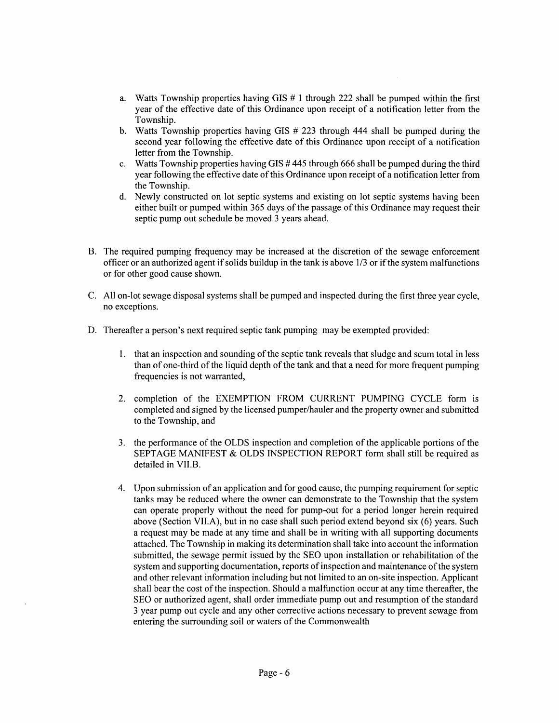- Watts Township properties having GIS # 1 through 222 shall be pumped within the first a. year of the effective date of this Ordinance upon receipt of a notification letter from the Township.
- Watts Township properties having GIS # 223 through 444 shall be pumped during the b. second year following the effective date of this Ordinance upon receipt of a notification letter from the Township.
- Watts Township properties having GIS  $#$  445 through 666 shall be pumped during the third  $\mathbf{c}$ . year following the effective date of this Ordinance upon receipt of a notification letter from the Township.
- d. Newly constructed on lot septic systems and existing on lot septic systems having been either built or pumped within 365 days of the passage of this Ordinance may requestheir septic pump out schedule be moved 3 years ahead.
- B. The required pumping frequency may be increased at the discretion of the sewage enforcement officer or an authorized agent if solids buildup in the tank is above  $1/3$  or if the system malfunctions or for other good cause shown.
- All on-lot sewage disposal systems shall be pumped and inspected during the first three year cycle, C. no exceptions.
- D. Thereafter a person's next required septic tank pumping may be exempted provided:
	- l. that an inspection and sounding of the septic tank reveals that sludge and scum total in less than of one-third of the liquid depth of the tank and that a need for more frequent pumping frequencies is not warranted,
	- 2. completion of the EXEMPTION FROM CURRENT PUMPING CYCLE form is completed and signed by the licensed pumper/hauler and the property owner and submitted to the Township, and
	- 3. the performance of the OLDS inspection and completion of the applicable portions of the SEPTAGE MANIFEST & OLDS INSPECTION REPORT form shall still be required as detailed in VII.B.
	- 4. Upon submission of an application and for good cause, the pumping requirement for septic tanks may be reduced where the owner can demonstrate to the Township that the system can operate properly without the need for pump-out for a period longer herein required above (Section VII.A), but in no case shall such period extend beyond six (6) years. Such a request may be made at any time and shall be in writing with all supporting documents attached. The Township in making its determination shall take into account the information submitted, the sewage permit issued by the SEO upon installation or rehabilitation of the system and supporting documentation, reports of inspection and maintenance of the system and other relevant information including but not limited to an on-site inspection. Applicant shall bear the cost of the inspection. Should a malfunction occur at any time thereafter, the SEO or authorized agent, shall order immediate pump out and resumption of the standard 3 year pump out cycle and any other corrective actions necessary to prevent sewage from entering the surrounding soil or waters of the Commonwealth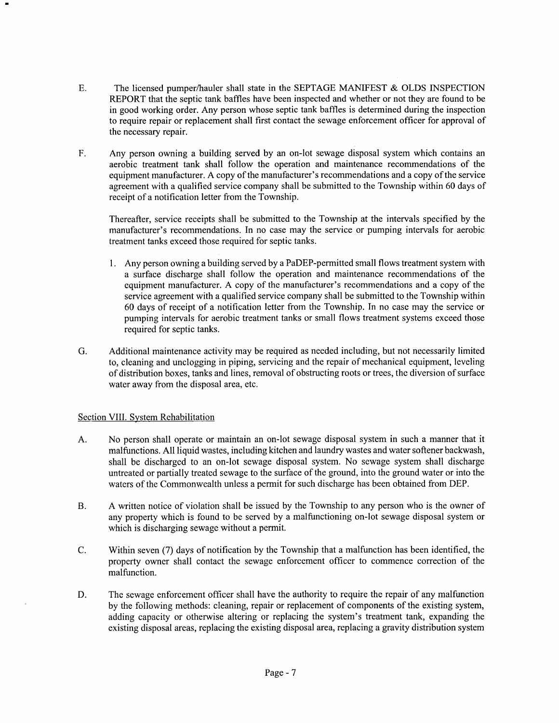- E. The licensed pumper/hauler shall state in the SEPTAGE MANIFEST & OLDS INSPECTION REPORT that the septic tank baffles have been inspected and whether or not they are found to be in good working order. Any person whose septic tank baffles is determined during the inspection to require repair or replacement shall first contact the sewage enforcement officer for approval of the necessary repair.
- F. Any person owning a building served by an on-lot sewage disposal system which contains an aerobic treatment tank shall follow the operation and maintenance recommendations of the equipment manufacturer. A copy of the manufacturer's recommendations and a copy of the service agreement with a qualified service company shall be submitted to the Township within 60 days of receipt of a notification letter from the Township.

Thereafter, service receipts shall be submitted to the Township at the intervals specified by the manufacturer's recommendations. In no case may the service or pumping intervals for aerobic treatment tanks exceed those required for septic tanks.

- l. Any person owning a building served by a PaDEP-permitted small flows treatment system with a surface discharge shall follow the operation and maintenance recommendations of the equipment manufacturer. A copy of the manufacturer's recommendations and a copy of the service agreement with a qualified service company shall be submitted to the Township within 60 days of receipt of a notification letter from the Township. In no case may the service or pumping intervals for aerobic treatment tanks or small flows treatment systems exceed those required for septic tanks.
- Additional maintenance activity may be required as needed including, but not necessarily limited to, cleaning and unclogging in piping, servicing and the repair of mechanical equipment, leveling of distribution boxes, tanks and lines, removal of obstructing roots or trees, the diversion of surface water away from the disposal area, etc. G.

# Section VIII. System Rehabilitation

- A. No person shall operate or maintain an on-lot sewage disposal system in such a manner that it malfunctions. All liquid wastes, including kitchen and laundry wastes and water softener backwash, shall be discharged to an on-lot sewage disposal system. No sewage system shall discharge untreated or partially treated sewage to the surface of the ground, into the ground water or into the waters of the Commonwealth unless a permit for such discharge has been obtained from DEP.
- B. A written notice of violation shall be issued by the Township to any person who is the owner of any properry which is found to be served by a malfunctioning on-lot sewage disposal system or which is discharging sewage without a permit.
- C. Within seven (7) days of notification by the Township that a malfunction has been identified, the property owner shall contact the sewage enforcement officer to commence correction of the malfunction.
- D. The sewage enforcement officer shall have the authority to require the repair of any malfunction by the following methods: cleaning, repair or replacement of components of the existing system, adding capacity or otherwise altering or replacing the system's treatment tank, expanding the existing disposal areas, replacing the existing disposal area, replacing a gravity distribution system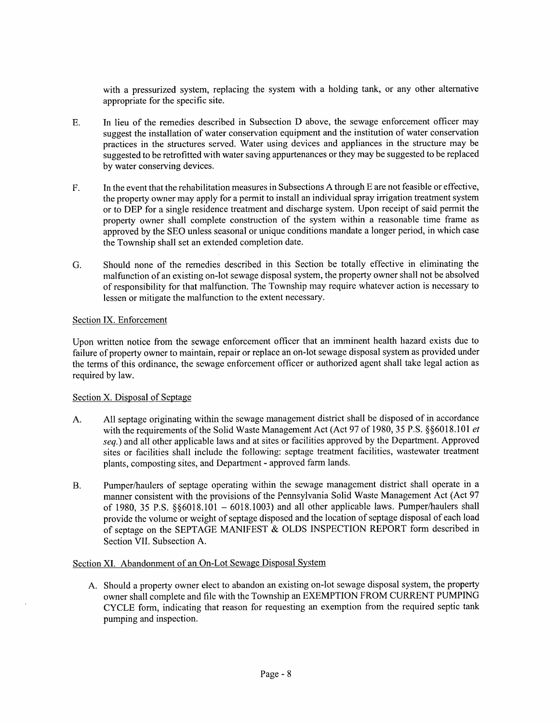with a pressurized system, replacing the system with a holding tank, or any other alternative appropriate for the specific site.

- E. In lieu of the remedies described in Subsection D above, the sewage enforcement officer may suggest the installation of water conservation equipment and the institution of water conservation practices in the strucfures served. Water using devices and appliances in the structure may be suggested to be retrofitted with water saving appurtenances or they may be suggested to be replaced by water conserving devices.
- F. In the event that the rehabilitation measures in Subsections A through E are not feasible or effective, the property owner may apply for a permit to install an individual spray irrigation treatment system or to DEP for a single residence treatment and discharge system. Upon receipt of said permit the property owner shall complete construction of the system within a reasonable time frame as approved by the SEO unless seasonal or unique conditions mandate a longer period, in which case the Township shall set an extended completion date.
- G. Should none of the remedies described in this Section be totally effective in eliminating the malfunction of an existing on-lot sewage disposal system, the property owner shall not be absolved of responsibility for that malfunction. The Township may require whatever action is necessary to lessen or mitigate the malfunction to the extent necessary.

# Section IX. Enforcement

Upon written notice from the sewage enforcement officer that an imminent health hazard exists due to failure of property owner to maintain, repair or replace an on-lot sewage disposal system as provided under the terms of this ordinance, the sewage enforcement officer or authorized agent shall take legal action as required by law.

## Section X. Disposal of Septage

- A. All septage originating within the sewage management district shall be disposed of in accordance with the requirements of the Solid Waste Management Act (Act 97 of 1980, 35 P.S.  $\S$  $\S6018.101$  et seq.) and all other applicable laws and at sites or facilities approved by the Department. Approved sites or facilities shall include the following: septage treatment facilities, wastewater treatment plants, composting sites, and Department - approved farm lands.
- B. Pumper/haulers of septage operating within the sewage management district shall operate in a manner consistent with the provisions of the Pennsylvania Solid Waste Management Act (Act 97 of 1980, 35 P.S.  $\S 6018.101 - 6018.1003$ ) and all other applicable laws. Pumper/haulers shall provide the volume or weight of septage disposed and the location of septage disposal of each load of septage on the SEPTAGE MANIFEST & OLDS INSPECTION REPORT form described in Section VII. Subsection A.

## Section XI. Abandonment of an On-Lot Sewage Disposal System

A. Should a property owner elect to abandon an existing on-lot sewage disposal system, the property owner shall complete and file with the Township an EXEMPTION FROM CURRENT PUMPING CYCLE form, indicating that reason for requesting an exemption from the required septic tank pumping and inspection.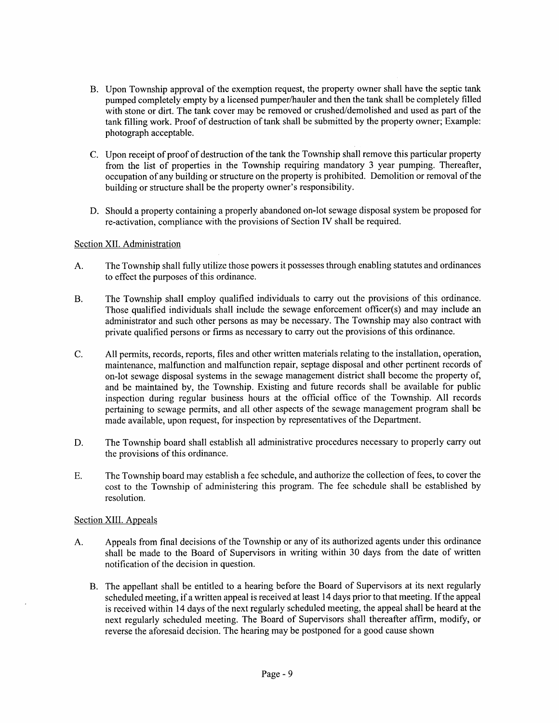- B. Upon Township approval of the exemption request, the property owner shall have the septic tank pumped completely empty by a licensed pumper/hauler and then the tank shall be completely filled with stone or dirt. The tank cover may be removed or crushed/demolished and used as part of the tank filling work. Proof of destruction of tank shall be submitted by the property owner; Example: photograph acceptable.
- C. Upon receipt of proof of destruction of the tank the Township shall remove this particular property from the list of properties in the Township requiring mandatory 3 year pumping. Thereafter, occupation of any building or structure on the property is prohibited. Demolition or removal of the building or structure shall be the property owner's responsibility.
- D. Should a property containing a properly abandoned on-lot sewage disposal system be proposed for re-activation, compliance with the provisions of Section IV shall be required.

# Section XII. Administration

- The Township shall fully utilize those powers it possesses through enabling statutes and ordinances to effect the purposes of this ordinance. A.
- The Township shall employ qualified individuals to carry out the provisions of this ordinance. Those qualified individuals shall include the sewage enforcement officer(s) and may include an administrator and such other persons as may be necessary. The Township may also contract with private qualified persons or firms as necessary to carry out the provisions of this ordinance. B.
- All permits, records, reports, files and other written materials relating to the installation, operation, maintenance, malfunction and malfunction repair, septage disposal and other pertinent records of on-lot sewage disposal systems in the sewage management district shall become the property of, and be maintained by, the Township. Existing and future records shall be available for public inspection during regular business hours at the official office of the Township. All records pertaining to sewage permits, and all other aspects of the sewage management program shall be made available, upon request, for inspection by representatives of the Department. C.
- The Township board shall establish all administrative procedures necessary to properly carry out the provisions of this ordinance. D.
- E. The Township board may establish a fee schedule, and authorize the collection of fees, to cover the cost to the Township of administering this program. The fee schedule shall be established by resolution.

## Section XIIL Appeals

- Appeals from final decisions of the Township or any of its authorized agents under this ordinance shall be made to the Board of Supervisors in writing within 30 days from the date of written notification of the decision in question. A.
	- B. The appellant shall be entitled to a hearing before the Board of Supervisors at its next regularly scheduled meeting, if a written appeal is received at least l4 days prior to that meeting. If the appeal is received within l4 days of the next regularly scheduled meeting, the appeal shall be heard at the next regularly scheduled meeting. The Board of Supervisors shall thereafter affirm, modify, or reverse the aforesaid decision. The hearing may be postponed for a good cause shown